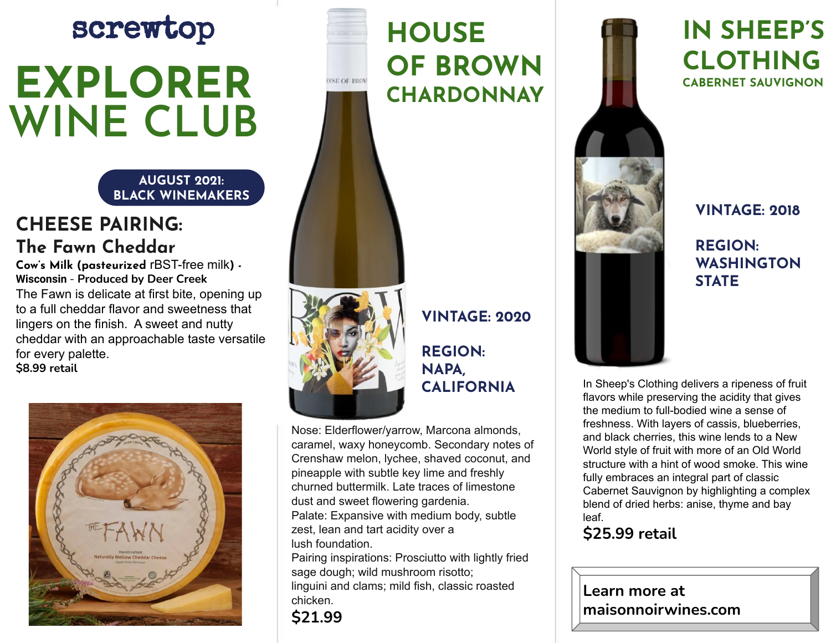# screwtop **EXPLORER WINE CLUB**

**AUGUST 2021: BLACK WINEMAKERS**

### **CHEESE PAIRING: The Fawn Cheddar**

**Cow's Milk (pasteurized** rBST-free milk**) - Wisconsin** - **Produced by Deer Creek** The Fawn is delicate at first bite, opening up to a full cheddar flavor and sweetness that lingers on the finish. A sweet and nutty cheddar with an approachable taste versatile for every palette. **\$8.99 retail**



## **HOUSE OF BROWN MSR OF BROW CHARDONNAY**



## **VINTAGE: 2020**

#### **REGION: NAPA, CALIFORNIA**

Nose: Elderflower/yarrow, Marcona almonds, caramel, waxy honeycomb. Secondary notes of Crenshaw melon, lychee, shaved coconut, and pineapple with subtle key lime and freshly churned buttermilk. Late traces of limestone dust and sweet flowering gardenia. Palate: Expansive with medium body, subtle zest, lean and tart acidity over a lush foundation.

Pairing inspirations: Prosciutto with lightly fried sage dough; wild mushroom risotto; linguini and clams; mild fish, classic roasted chicken.



# **IN SHEEP'S CLOTHING CABERNET SAUVIGNON**

#### **VINTAGE: 2018**

#### **REGION: WASHINGTON STATE**

In Sheep's Clothing delivers a ripeness of fruit flavors while preserving the acidity that gives the medium to full-bodied wine a sense of freshness. With layers of cassis, blueberries, and black cherries, this wine lends to a New World style of fruit with more of an Old World structure with a hint of wood smoke. This wine fully embraces an integral part of classic Cabernet Sauvignon by highlighting a complex blend of dried herbs: anise, thyme and bay leaf.

#### **\$25.99 retail**

**Learn more at maisonnoirwines.com**